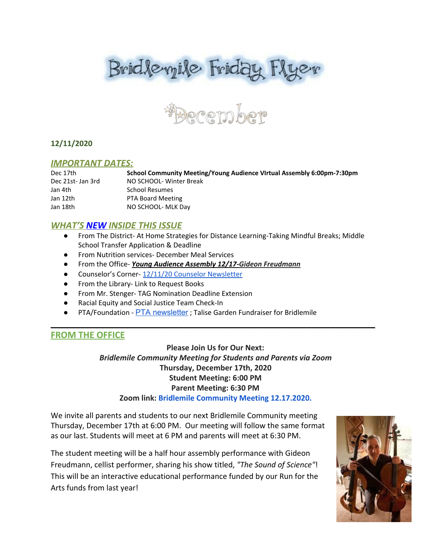



## **12/11/2020**

#### *IMPORTANT DATES:*

Dec 17th **School Community Meeting/Young Audience VIrtual Assembly 6:00pm-7:30pm** Dec 21st- Jan 3rd NO SCHOOL- Winter Break Jan 4th School Resumes Jan 12th PTA Board Meeting Jan 18th NO SCHOOL- MLK Day

## *WHAT'S NEW INSIDE THIS ISSUE*

- From The District- At Home Strategies for Distance Learning-Taking Mindful Breaks; Middle School Transfer Application & Deadline
- From Nutrition services- December Meal Services
- From the Office- *Young Audience Assembly 12/17-Gideon Freudmann*
- Counselor's Corner- 12/11/20 Counselor [Newsletter](https://docs.google.com/document/d/1IZ_t0URkxLDyqQwbPOpYHnHbttI01gRA2IHneGCEdwU/edit?usp=sharing)
- From the Library- Link to Request Books
- From Mr. Stenger- TAG Nomination Deadline Extension
- Racial Equity and Social Justice Team Check-In
- PTA/Foundation PTA [newsletter](https://docs.google.com/document/d/e/2PACX-1vQlZCPHtKxqO7qpJwiwgoeaZ1ERHVLgg6z0JNYJMTulwn7xlOVY_X2I1ZV9nntsGHP57LEZ_uSufaFj/pub) ; Talise Garden Fundraiser for Bridlemile

# **FROM THE OFFICE**

**Please Join Us for Our Next:** *Bridlemile Community Meeting for Students and Parents via Zoom* **Thursday, December 17th, 2020 Student Meeting: 6:00 PM Parent Meeting: 6:30 PM Zoom link: [Bridlemile Community Meeting 12.17.2020.](https://pps-net.zoom.us/j/82003918231)**

\_\_\_\_\_\_\_\_\_\_\_\_\_\_\_\_\_\_\_\_\_\_\_\_\_\_\_\_\_\_\_\_\_\_\_\_\_\_\_\_\_\_\_\_\_\_\_\_\_\_\_\_\_\_\_\_\_\_\_\_\_\_\_\_\_\_

We invite all parents and students to our next Bridlemile Community meeting Thursday, December 17th at 6:00 PM. Our meeting will follow the same format as our last. Students will meet at 6 PM and parents will meet at 6:30 PM.

The student meeting will be a half hour assembly performance with Gideon Freudmann, cellist performer, sharing his show titled, *"The Sound of Science"*! This will be an interactive educational performance funded by our Run for the Arts funds from last year!

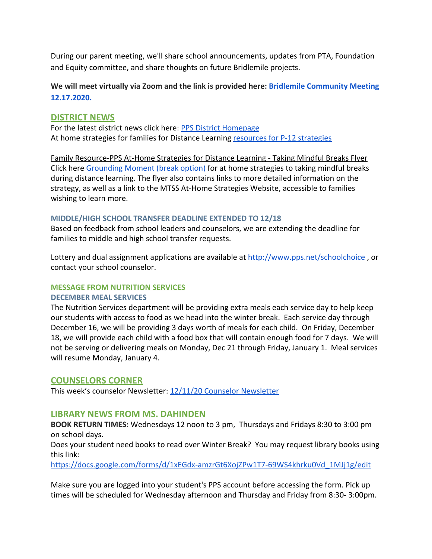During our parent meeting, we'll share school announcements, updates from PTA, Foundation and Equity committee, and share thoughts on future Bridlemile projects.

**We will meet virtually via Zoom and the link is provided here: [Bridlemile Community Meeting](https://pps-net.zoom.us/j/82003918231) [12.17.2020.](https://pps-net.zoom.us/j/82003918231)**

## **DISTRICT NEWS**

For the latest district news click here: [PPS District Homepage](https://www.pps.net/portland) At home strategies for families for Distance Learning [resources for P-12 strategies](https://sites.google.com/pps.net/athomestrategies/home)

Family Resource-PPS At-Home Strategies for Distance Learning - Taking Mindful Breaks Flyer Click here [Grounding Moment \(break option\)](https://docs.google.com/presentation/d/1xWSvZS14Xm44tBhS8orHGMFaoQHXBw-gT86Zkja_2Ro/edit#slide=id.p) for at home strategies to taking mindful breaks during distance learning. The flyer also contains links to more detailed information on the strategy, as well as a link to the MTSS At-Home Strategies Website, accessible to families wishing to learn more.

## **MIDDLE/HIGH SCHOOL TRANSFER DEADLINE EXTENDED TO 12/18**

Based on feedback from school leaders and counselors, we are extending the deadline for families to middle and high school transfer requests.

Lottery and dual assignment applications are available at http://www.pps.net/schoolchoice, or contact your school counselor.

# **MESSAGE FROM NUTRITION SERVICES**

#### **DECEMBER MEAL SERVICES**

The Nutrition Services department will be providing extra meals each service day to help keep our students with access to food as we head into the winter break. Each service day through December 16, we will be providing 3 days worth of meals for each child. On Friday, December 18, we will provide each child with a food box that will contain enough food for 7 days. We will not be serving or delivering meals on Monday, Dec 21 through Friday, January 1. Meal services will resume Monday, January 4.

## **COUNSELORS CORNER**

This week's counselor Newsletter: [12/11/20 Counselor Newsletter](https://docs.google.com/document/d/1IZ_t0URkxLDyqQwbPOpYHnHbttI01gRA2IHneGCEdwU/edit?usp=sharing)

## **LIBRARY NEWS FROM MS. DAHINDEN**

**BOOK RETURN TIMES:** Wednesdays 12 noon to 3 pm, Thursdays and Fridays 8:30 to 3:00 pm on school days.

Does your student need books to read over Winter Break? You may request library books using this link:

[https://docs.google.com/forms/d/1xEGdx-amzrGt6XojZPw1T7-69WS4khrku0Vd\\_1MJj1g/edit](https://docs.google.com/forms/d/1xEGdx-amzrGt6XojZPw1T7-69WS4khrku0Vd_1MJj1g/edit)

Make sure you are logged into your student's PPS account before accessing the form. Pick up times will be scheduled for Wednesday afternoon and Thursday and Friday from 8:30- 3:00pm.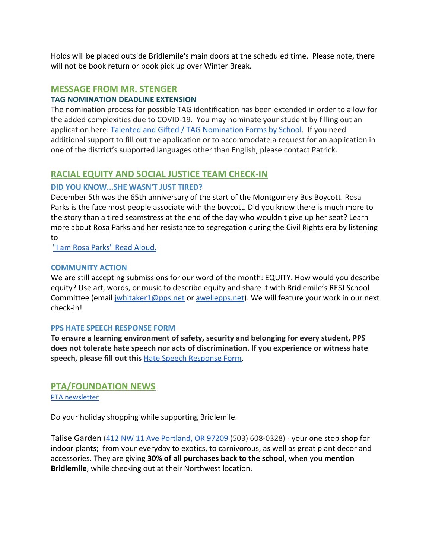Holds will be placed outside Bridlemile's main doors at the scheduled time. Please note, there will not be book return or book pick up over Winter Break.

# **MESSAGE FROM MR. STENGER**

## **TAG NOMINATION DEADLINE EXTENSION**

The nomination process for possible TAG identification has been extended in order to allow for the added complexities due to COVID-19. You may nominate your student by filling out an application here: [Talented and Gifted / TAG Nomination Forms by School.](https://www.pps.net/Page/16599) If you need additional support to fill out the application or to accommodate a request for an application in one of the district's supported languages other than English, please contact Patrick.

# **RACIAL EQUITY AND SOCIAL JUSTICE TEAM CHECK-IN**

# **DID YOU KNOW...SHE WASN'T JUST TIRED?**

December 5th was the 65th anniversary of the start of the Montgomery Bus Boycott. Rosa Parks is the face most people associate with the boycott. Did you know there is much more to the story than a tired seamstress at the end of the day who wouldn't give up her seat? Learn more about Rosa Parks and her resistance to segregation during the Civil Rights era by listening to

["I am Rosa Parks" Read Aloud.](https://video.link/w/aMx8b)

## **COMMUNITY ACTION**

We are still accepting submissions for our word of the month: EQUITY. How would you describe equity? Use art, words, or music to describe equity and share it with Bridlemile's RESJ School Committee (email jwhitaker1@pps.net or [awellepps.net](http://awellepps.net/)). We will feature your work in our next check-in!

## **PPS HATE SPEECH RESPONSE FORM**

**To ensure a learning environment of safety, security and belonging for every student, PPS does not tolerate hate speech nor acts of discrimination. If you experience or witness hate speech, please fill out this** [Hate Speech Response Form.](https://docs.google.com/forms/d/e/1FAIpQLScBgOKMOV-xv4yfPk9DnciUMqkQ7E_Us3JaXcTf_lUIUmWnoA/viewform)

# **PTA/FOUNDATION NEWS**

PTA [newsletter](https://docs.google.com/document/d/e/2PACX-1vQlZCPHtKxqO7qpJwiwgoeaZ1ERHVLgg6z0JNYJMTulwn7xlOVY_X2I1ZV9nntsGHP57LEZ_uSufaFj/pub)

Do your holiday shopping while supporting Bridlemile.

Talise Garden ([412 NW 11 Ave](https://www.google.com/maps/search/412+NW+11+Ave+Portland,+OR+97209?entry=gmail&source=g) [Portland, OR 97209](https://www.google.com/maps/search/412+NW+11+Ave+Portland,+OR+97209?entry=gmail&source=g) (503) 608-0328) - your one stop shop for indoor plants; from your everyday to exotics, to carnivorous, as well as great plant decor and accessories. They are giving **30% of all purchases back to the school**, when you **mention Bridlemile**, while checking out at their Northwest location.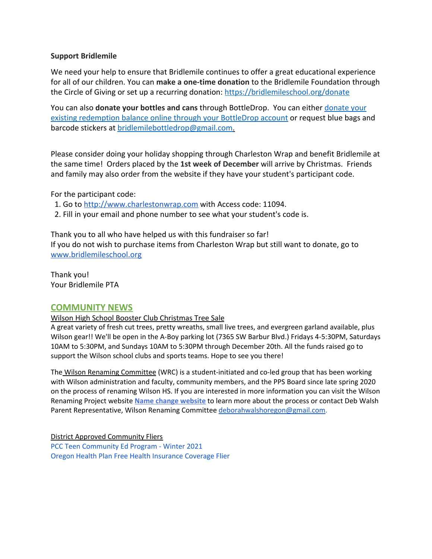## **Support Bridlemile**

We need your help to ensure that Bridlemile continues to offer a great educational experience for all of our children. You can **make a one-time donation** to the Bridlemile Foundation through the Circle of Giving or set up a recurring donation: <https://bridlemileschool.org/donate>

You can also **[donate your](https://www.bottledropcenters.com/donate-nonprofits/) bottles and cans** through BottleDrop. You can either **donate your** [existing redemption balance online through your BottleDrop account](https://www.bottledropcenters.com/donate-nonprofits/) or request blue bags and barcode stickers at bridlemilebottledrop@gmail.com.

Please consider doing your holiday shopping through Charleston Wrap and benefit Bridlemile at the same time! Orders placed by the **1st week of December** will arrive by Christmas. Friends and family may also order from the website if they have your student's participant code.

For the participant code:

- 1. Go to [http://www.charlestonwrap.com](http://www.charlestonwrap.com/) with Access code: 11094.
- 2. Fill in your email and phone number to see what your student's code is.

Thank you to all who have helped us with this fundraiser so far! If you do not wish to purchase items from Charleston Wrap but still want to donate, go to [www.bridlemileschool.org](http://www.bridlemileschool.org/)

Thank you! Your Bridlemile PTA

## **COMMUNITY NEWS**

Wilson High School Booster Club Christmas Tree Sale

A great variety of fresh cut trees, pretty wreaths, small live trees, and evergreen garland available, plus Wilson gear!! We'll be open in the A-Boy parking lot (7365 SW Barbur Blvd.) Fridays 4-5:30PM, Saturdays 10AM to 5:30PM, and Sundays 10AM to 5:30PM through December 20th. All the funds raised go to support the Wilson school clubs and sports teams. Hope to see you there!

The Wilson Renaming Committee (WRC) is a student-initiated and co-led group that has been working with Wilson administration and faculty, community members, and the PPS Board since late spring 2020 on the process of renaming Wilson HS. If you are interested in more information you can visit the Wilson Renaming Project website **Name change [website](http://track.spe.schoolmessenger.com/f/a/REUlTbPl1ctsAfIrBvrnuw~~/AAAAAQA~/RgRhlXLyP4TVAWh0dHBzOi8vZXVyMDQuc2FmZWxpbmtzLnByb3RlY3Rpb24ub3V0bG9vay5jb20vP3VybD1odHRwcyUzQSUyRiUyRmhpbGxzZGFsZW5ld3NwZHgudXMxNC5saXN0LW1hbmFnZS5jb20lMkZ0cmFjayUyRmNsaWNrJTNGdSUzRDJhODE3ZGMxYmNlYzk5ODE0YWZhMDBjMjclMjZpZCUzRDY0ODYzYmI5NGYlMjZlJTNEYzQ0MDRjNTQ4MSZkYXRhPTA0JTdDMDElN0MlN0NiMTNmMWY4ZDU5NTg0MDQ0ZjMxNjA4ZDg4MTE3Y2RlMyU3Qzg0ZGY5ZTdmZTlmNjQwYWZiNDM1YWFhYWFhYWFhYWFhJTdDMSU3QzAlN0M2Mzc0MDEyODY1MjA3Nzk1NTUlN0NVbmtub3duJTdDVFdGcGJHWnNiM2Q4ZXlKV0lqb2lNQzR3TGpBd01EQWlMQ0pRSWpvaVYybHVNeklpTENKQlRpSTZJazFoYVd3aUxDSlhWQ0k2TW4wJTNEJTdDMTAwMCZzZGF0YT1rdW9jaXljYmMxcWlFMEh2WGglMkZlR2t1ekM2NlRsVVclMkZ6Q0NBUSUyRk9ldFhjJTNEJnJlc2VydmVkPTBXB3NjaG9vbG1CCgBGcj-0X_hLOK1SEGRidXJsaW5nQHBwcy5uZXRYBAAAAAE~)** to learn more about the process or contact Deb Walsh Parent Representative, Wilson Renaming Committee [deborahwalshoregon@gmail.com](mailto:deborahwalshoregon@gmail.com).

District Approved Community Fliers PCC Teen [Community](https://www.pps.net/cms/lib/OR01913224/Centricity/Domain/75/PCC_CED_teen_111320.pdf) Ed Program - Winter 2021 Oregon Health Plan Free Health [Insurance](https://www.pps.net/cms/lib/OR01913224/Centricity/Domain/4/Back_to_School-OHP_OHIM_Health_Coverage_Flier.pdf) Coverage Flier